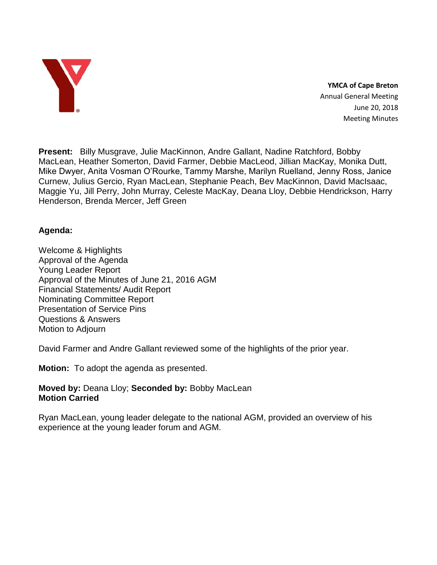

**YMCA of Cape Breton** Annual General Meeting June 20, 2018 Meeting Minutes

**Present:** Billy Musgrave, Julie MacKinnon, Andre Gallant, Nadine Ratchford, Bobby MacLean, Heather Somerton, David Farmer, Debbie MacLeod, Jillian MacKay, Monika Dutt, Mike Dwyer, Anita Vosman O'Rourke, Tammy Marshe, Marilyn Ruelland, Jenny Ross, Janice Curnew, Julius Gercio, Ryan MacLean, Stephanie Peach, Bev MacKinnon, David MacIsaac, Maggie Yu, Jill Perry, John Murray, Celeste MacKay, Deana Lloy, Debbie Hendrickson, Harry Henderson, Brenda Mercer, Jeff Green

## **Agenda:**

Welcome & Highlights Approval of the Agenda Young Leader Report Approval of the Minutes of June 21, 2016 AGM Financial Statements/ Audit Report Nominating Committee Report Presentation of Service Pins Questions & Answers Motion to Adjourn

David Farmer and Andre Gallant reviewed some of the highlights of the prior year.

**Motion:** To adopt the agenda as presented.

#### **Moved by:** Deana Lloy; **Seconded by:** Bobby MacLean **Motion Carried**

Ryan MacLean, young leader delegate to the national AGM, provided an overview of his experience at the young leader forum and AGM.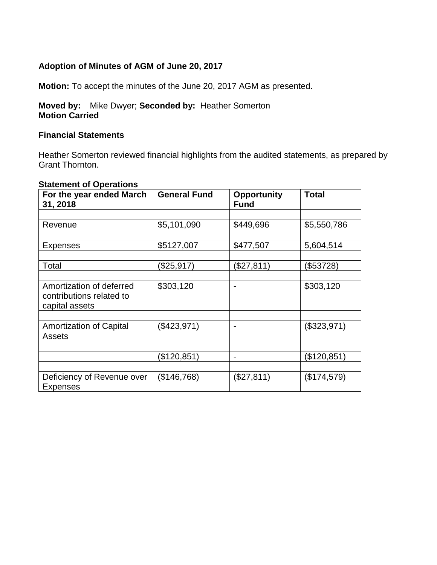## **Adoption of Minutes of AGM of June 20, 2017**

**Motion:** To accept the minutes of the June 20, 2017 AGM as presented.

### **Moved by:** Mike Dwyer; **Seconded by:** Heather Somerton **Motion Carried**

#### **Financial Statements**

Heather Somerton reviewed financial highlights from the audited statements, as prepared by Grant Thornton.

#### **Statement of Operations**

| For the year ended March<br>31, 2018                                   | <b>General Fund</b> | <b>Opportunity</b><br><b>Fund</b> | <b>Total</b> |
|------------------------------------------------------------------------|---------------------|-----------------------------------|--------------|
|                                                                        |                     |                                   |              |
| Revenue                                                                | \$5,101,090         | \$449,696                         | \$5,550,786  |
|                                                                        |                     |                                   |              |
| <b>Expenses</b>                                                        | \$5127,007          | \$477,507                         | 5,604,514    |
|                                                                        |                     |                                   |              |
| Total                                                                  | (\$25,917)          | (\$27,811)                        | (\$53728)    |
|                                                                        |                     |                                   |              |
| Amortization of deferred<br>contributions related to<br>capital assets | \$303,120           | $\blacksquare$                    | \$303,120    |
|                                                                        |                     |                                   |              |
| <b>Amortization of Capital</b><br><b>Assets</b>                        | (\$423,971)         |                                   | (\$323,971)  |
|                                                                        |                     |                                   |              |
|                                                                        | (\$120,851)         | $\blacksquare$                    | (\$120,851)  |
|                                                                        |                     |                                   |              |
| Deficiency of Revenue over<br><b>Expenses</b>                          | (\$146,768)         | (\$27,811)                        | (\$174,579)  |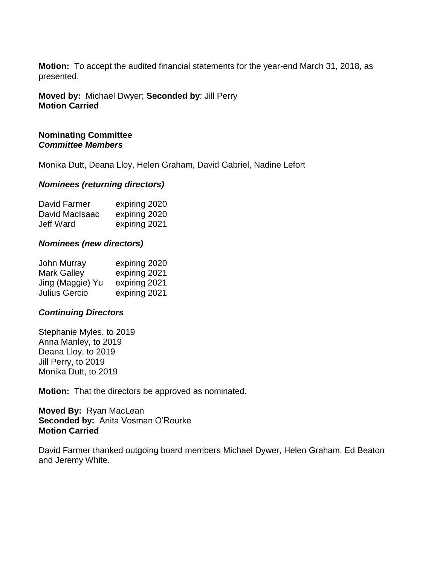**Motion:** To accept the audited financial statements for the year-end March 31, 2018, as presented.

#### **Moved by:** Michael Dwyer; **Seconded by**: Jill Perry **Motion Carried**

### **Nominating Committee** *Committee Members*

Monika Dutt, Deana Lloy, Helen Graham, David Gabriel, Nadine Lefort

#### *Nominees (returning directors)*

| David Farmer     | expiring 2020 |
|------------------|---------------|
| David MacIsaac   | expiring 2020 |
| <b>Jeff Ward</b> | expiring 2021 |

#### *Nominees (new directors)*

| <b>John Murray</b>   | expiring 2020 |
|----------------------|---------------|
| <b>Mark Galley</b>   | expiring 2021 |
| Jing (Maggie) Yu     | expiring 2021 |
| <b>Julius Gercio</b> | expiring 2021 |

#### *Continuing Directors*

Stephanie Myles, to 2019 Anna Manley, to 2019 Deana Lloy, to 2019 Jill Perry, to 2019 Monika Dutt, to 2019

**Motion:** That the directors be approved as nominated.

**Moved By:** Ryan MacLean **Seconded by:** Anita Vosman O'Rourke **Motion Carried**

David Farmer thanked outgoing board members Michael Dywer, Helen Graham, Ed Beaton and Jeremy White.